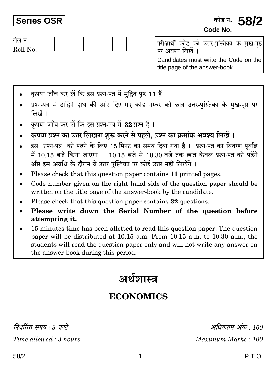## **Series OSR**



परीक्षार्थी कोड को उत्तर-पुस्तिका के मुख-पृष्ठ पर अवश्य लिखें ।

Candidates must write the Code on the title page of the answer-book.

- कपया जाँच कर लें कि इस प्रश्न-पत्र में मदित पष्ठ 11 हैं।
- प्रश्न-पत्र में दाहिने हाथ की ओर दिए गए कोड नम्बर को छात्र उत्तर-पुस्तिका के मुख-पृष्ठ पर लिखें ।
- कृपया जाँच कर लें कि इस प्रश्न-पत्र में 32 प्रश्न हैं।
- कृपया प्रश्न का उत्तर लिखना शुरू करने से पहले, प्रश्न का क्रमांक अवश्य लिखें।
- इस प्रश्न-पत्र को पढ़ने के लिए 15 मिनट का समय दिया गया है। प्रश्न-पत्र का वितरण पर्वाह्न में 10.15 बजे किया जाएगा। 10.15 बजे से 10.30 बजे तक छात्र केवल प्रश्न-पत्र को पढ़ेंगे और इस अवधि के दौरान वे उत्तर-पुस्तिका पर कोई उत्तर नहीं लिखेंगे ।
- Please check that this question paper contains 11 printed pages.
- Code number given on the right hand side of the question paper should be written on the title page of the answer-book by the candidate.
- Please check that this question paper contains 32 questions.
- Please write down the Serial Number of the question before  $\bullet$ attempting it.
- 15 minutes time has been allotted to read this question paper. The question paper will be distributed at 10.15 a.m. From 10.15 a.m. to 10.30 a.m., the students will read the question paper only and will not write any answer on the answer-book during this period.

# अर्थशास्त्र

# **ECONOMICS**

निर्धारित ममय  $\cdot$  १ घण्टे

Time allowed: 3 hours

अधिकतम् अंक : 100 Maximum Marks: 100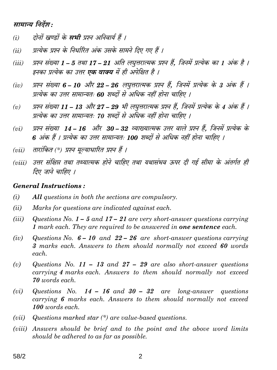#### सामान्य निर्देश:

- दोनों खण्डों के **सभी** प्रश्न अनिवार्य हैं ।  $(i)$
- प्रत्येक प्रश्न के निर्धारित अंक उसके सामने दिए गए हैं ।  $(ii)$
- प्रश्न संख्या 1 5 तथा 17 21 अति लघूत्तरात्मक प्रश्न हैं. जिनमें प्रत्येक का 1 अंक है ।  $(iii)$ इनका प्रत्येक का उत्तर **एक वाक्य** में ही अपेक्षित है ।
- प्रश्न संख्या 6 10 और 22 26 लघुत्तरात्मक प्रश्न हैं, जिनमें प्रत्येक के 3 अंक हैं ।  $(iv)$ प्रत्येक का उत्तर सामान्यतः 60 शब्दों से अधिक नहीं होना चाहिए ।
- प्रश्न संख्या 11 13 और 27 29 भी लघत्तरात्मक प्रश्न हैं. जिनमें प्रत्येक के 4 अंक हैं ।  $(v)$ प्रत्येक का उत्तर सामान्यतः 70 शब्दों से अधिक नहीं होना चाहिए ।
- प्रश्न संख्या 14 16 और 30 32 व्याख्यात्मक उत्तर वाले प्रश्न हैं. जिनमें प्रत्येक के  $(vi)$ 6 अंक हैं । प्रत्येक का उत्तर सामान्यतः 100 शब्दों से अधिक नहीं होना चाहिए ।
- तारांकित (\*) प्रश्न मुल्याधारित प्रश्न हैं ।  $(vii)$
- (viii) उत्तर संक्षिप्त तथा तथ्यात्मक होने चाहिए तथा यथासंभव ऊपर दी गई सीमा के अंतर्गत ही तिए जाने चाहिए ।

#### **General Instructions:**

- $(i)$ All questions in both the sections are compulsory.
- $(ii)$ Marks for questions are indicated against each.
- $(iii)$ Questions No.  $1 - 5$  and  $17 - 21$  are very short-answer questions carrying 1 mark each. They are required to be answered in **one sentence** each.
- Questions No.  $6 10$  and  $22 26$  are short-answer questions carrying  $(iv)$ 3 marks each. Answers to them should normally not exceed 60 words each.
- $(v)$ Questions No. 11 – 13 and 27 – 29 are also short-answer questions carrying 4 marks each. Answers to them should normally not exceed 70 words each.
- Questions No.  $14 16$  and  $30 32$  are long-answer questions  $(vi)$ carrying 6 marks each. Answers to them should normally not exceed 100 words each.
- Questions marked star  $(*)$  are value-based questions.  $(vii)$
- (viii) Answers should be brief and to the point and the above word limits should be adhered to as far as possible.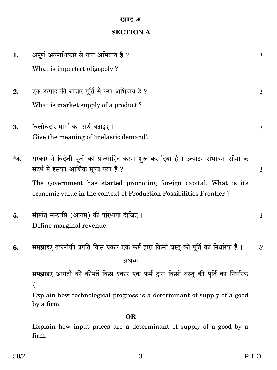#### खण्ड अ

### **SECTION A**

| 1.        | अपूर्ण अल्पाधिकार से क्या अभिप्राय है ?                                                                                                  | 1                         |
|-----------|------------------------------------------------------------------------------------------------------------------------------------------|---------------------------|
|           | What is imperfect oligopoly?                                                                                                             |                           |
| 2.        | एक उत्पाद की बाज़ार पूर्ति से क्या अभिप्राय है ?                                                                                         | 1                         |
|           | What is market supply of a product?                                                                                                      |                           |
| 3.        | 'बेलोचदार माँग' का अर्थ बताइए।                                                                                                           | $\boldsymbol{l}$          |
|           | Give the meaning of 'inelastic demand'.                                                                                                  |                           |
| $^*4.$    | सरकार ने विदेशी पूँजी को प्रोत्साहित करना शुरू कर दिया है । उत्पादन संभावना सीमा के<br>संदर्भ में इसका आर्थिक मूल्य क्या है ?            | $\boldsymbol{\mathit{1}}$ |
|           | The government has started promoting foreign capital. What is its<br>economic value in the context of Production Possibilities Frontier? |                           |
| 5.        | सीमांत सम्प्राप्ति (आगम) की परिभाषा दीजिए ।                                                                                              | 1                         |
|           | Define marginal revenue.                                                                                                                 |                           |
| 6.        | समझाइए तकनीकी प्रगति किस प्रकार एक फर्म द्वारा किसी वस्तु की पूर्ति का निर्धारक है ।                                                     | 3                         |
|           | अथवा                                                                                                                                     |                           |
|           | समझाइए आगतों की कीमतें किस प्रकार एक फर्म द्वारा किसी वस्तु की पूर्ति का निर्धारक<br>है ।                                                |                           |
|           | Explain how technological progress is a determinant of supply of a good<br>by a firm.                                                    |                           |
| <b>OR</b> |                                                                                                                                          |                           |
|           | Explain how input prices are a determinant of supply of a good by a<br>firm.                                                             |                           |

 $\mathfrak{S}$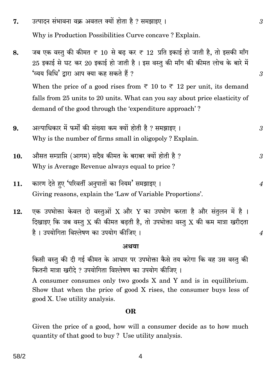- उत्पादन संभावना वक्र अवतल क्यों होता है ? समझाइए । 7. Why is Production Possibilities Curve concave? Explain.
- जब एक वस्तु की कीमत ₹ 10 से बढ़ कर ₹ 12 प्रति इकाई हो जाती है. तो इसकी माँग 8.  $25$  इकाई से घट कर  $20$  इकाई हो जाती है । इस वस्तु की माँग की कीमत लोच के बारे में 'व्यय विधि' द्वारा आप क्या कह सकते हैं ? When the price of a good rises from  $\overline{\tau}$  10 to  $\overline{\tau}$  12 per unit, its demand falls from 25 units to 20 units. What can you say about price elasticity of demand of the good through the 'expenditure approach'?
- अल्पाधिकार में फर्मों की संख्या कम क्यों होती है ? समझाइए । 9. 3 Why is the number of firms small in oligopoly? Explain.
- औसत सम्प्राप्ति (आगम) सदैव कीमत के बराबर क्यों होती है ? 10. 3 Why is Average Revenue always equal to price?
- कारण देते हुए 'परिवर्ती अनुपातों का नियम' समझाइए । 11. Giving reasons, explain the 'Law of Variable Proportions'.
- एक उपभोक्ता केवल दो वस्तुओं X और Y का उपभोग करता है और संतुलन में है। 12. दिखाइए कि जब वस्तु X की कीमत बढ़ती है, तो उपभोक्ता वस्तु X की कम मात्रा खरीदता है। उपयोगिता विश्लेषण का उपयोग कीजिए।

#### अथवा

किसी वस्तु की दी गई कीमत के आधार पर उपभोक्ता कैसे तय करेगा कि वह उस वस्तु की कितनी मात्रा खरीदे ? उपयोगिता विश्लेषण का उपयोग कीजिए ।

A consumer consumes only two goods X and Y and is in equilibrium. Show that when the price of good X rises, the consumer buys less of good X. Use utility analysis.

#### OR.

Given the price of a good, how will a consumer decide as to how much quantity of that good to buy? Use utility analysis.

4

3

3

 $\boldsymbol{4}$ 

 $\boldsymbol{4}$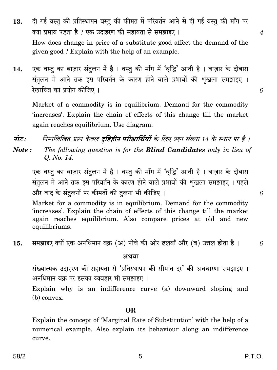- दी गई वस्तू की प्रतिस्थापन वस्तू की कीमत में परिवर्तन आने से दी गई वस्तू की माँग पर 13. क्या प्रभाव पड़ता है ? एक उदाहरण की सहायता से समझाइए । How does change in price of a substitute good affect the demand of the given good? Explain with the help of an example.
- एक वस्तु का बाज़ार संतुलन में है। वस्तु की माँग में 'वृद्धि' आती है। बाज़ार के दोबारा 14. संतुलन में आने तक इस परिवर्तन के कारण होने वाले प्रभावों की शृंखला समझाइए । रेखाचित्र का प्रयोग कीजिए।

Market of a commodity is in equilibrium. Demand for the commodity 'increases'. Explain the chain of effects of this change till the market again reaches equilibrium. Use diagram.

- निम्नलिखित प्रश्न केवल **दष्टिहीन परीक्षार्थियों** के लिए प्रश्न संख्या 14 के स्थान पर है । नोट:
- The following question is for the **Blind Candidates** only in lieu of Note: Q. No. 14.

एक वस्तु का बाज़ार संतुलन में है। वस्तु की माँग में 'वृद्धि' आती है। बाज़ार के दोबारा संतुलन में आने तक इस परिवर्तन के कारण होने वाले प्रभावों की शृंखला समझाइए । पहले और बाद के संतुलनों पर कीमतों की तुलना भी कीजिए।

Market for a commodity is in equilibrium. Demand for the commodity 'increases'. Explain the chain of effects of this change till the market again reaches equilibrium. Also compare prices at old and new equilibriums.

समझाइए क्यों एक अनधिमान वक्र (अ) नीचे की ओर ढलवाँ और (ब) उत्तल होता है। 15.

#### अथवा

संख्यात्मक उदाहरण की सहायता से 'प्रतिस्थापन की सीमांत दर' की अवधारणा समझाइए । अनधिमान वक्र पर इसका व्यवहार भी समझाइए।

Explain why is an indifference curve (a) downward sloping and  $(b)$  convex.

#### **OR**

Explain the concept of 'Marginal Rate of Substitution' with the help of a numerical example. Also explain its behaviour along an indifference curve.

6

6

 $\overline{A}$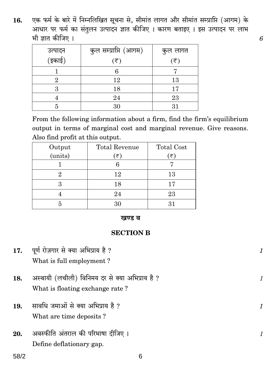एक फर्म के बारे में निम्नलिखित सूचना से, सीमांत लागत और सीमांत सम्प्राप्ति (आगम) के<br>आधार पर फर्म का संतुलन उत्पादन ज्ञात कीजिए । कारण बताइए । इस उत्पादन पर लाभ 16. भी ज्ञात कीजिए ।

|                   | कुल सम्प्राप्ति (आगम) | कुल लागत                    |
|-------------------|-----------------------|-----------------------------|
| उत्पादन<br>(इकाई) | (₹)                   | $(\overline{\overline{z}})$ |
|                   |                       |                             |
| 9.                | 12                    | 13                          |
|                   | 18                    | 17                          |
|                   | 24                    | 23                          |
|                   | 30                    | 31                          |

From the following information about a firm, find the firm's equilibrium output in terms of marginal cost and marginal revenue. Give reasons. Also find profit at this output.

| <b>Total Revenue</b> | <b>Total Cost</b> |
|----------------------|-------------------|
| ′₹`                  | (₹)               |
|                      |                   |
| 12                   | 13                |
| 18                   | 17                |
| 24                   | 23                |
| 30                   | 31                |
|                      |                   |

#### खण्ड ब

#### **SECTION B**

| 17. | पूर्ण रोज़गार से क्या अभिप्राय है ?                                                |  |
|-----|------------------------------------------------------------------------------------|--|
|     | What is full employment?                                                           |  |
| 18. | अस्थायी (लचीली) विनिमय दर से क्या अभिप्राय है ?<br>What is floating exchange rate? |  |
| 19. | सावधि जमाओं से क्या अभिप्राय है ?<br>What are time deposits?                       |  |
| 20. | अवस्फीति अंतराल की परिभाषा दीजिए ।<br>Define deflationary gap.                     |  |

 $58/2$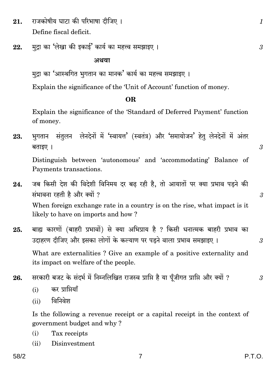- राजकोषीय घाटा की परिभाषा दीजिए। 21. Define fiscal deficit.
- मदा का 'लेखा की इकाई' कार्य का महत्त्व समझाइए। 22.

#### अथवा

Explain the significance of the 'Unit of Account' function of money.

#### OR.

Explain the significance of the 'Standard of Deferred Payment' function of money.

भुगतान संतुलन लेनदेनों में 'स्वायत्त' (स्वतंत्र) और 'समायोजन' हेतू लेनदेनों में अंतर 23. बताइए ।

Distinguish between 'autonomous' and 'accommodating' Balance of Payments transactions.

- जब किसी देश की विदेशी विनिमय दर बढ़ रही है, तो आयातों पर क्या प्रभाव पड़ने की 24. संभावना रहती है और क्यों ? When foreign exchange rate in a country is on the rise, what impact is it likely to have on imports and how?
- बाह्य कारणों (बाहरी प्रभावों) से क्या अभिप्राय है ? किसी धनात्मक बाहरी प्रभाव का 25. उदाहरण दीजिए और इसका लोगों के कल्याण पर पडने वाला प्रभाव समझाइए ।

What are externalities? Give an example of a positive externality and its impact on welfare of the people.

सरकारी बजट के संदर्भ में निम्नलिखित राजस्व प्राप्ति है या पूँजीगत प्राप्ति और क्यों ? 26.

- कर प्राप्तियाँ  $(i)$
- विनिवेश  $(ii)$

Is the following a revenue receipt or a capital receipt in the context of government budget and why?

- Tax receipts  $(i)$
- Disinvestment  $(ii)$

3

 $\mathcal{S}$ 

 $\mathcal{S}$ 

 $\mathcal{S}$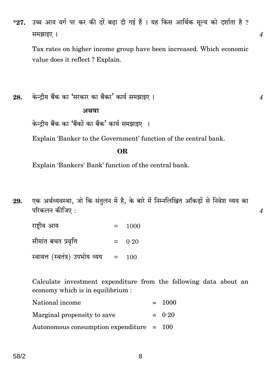उच्च आय वर्ग पर कर की दरें बढ़ा दी गई हैं । यह किस आर्थिक मूल्य को दर्शाता है ?  $*27.$ समझाइए ।

Tax rates on higher income group have been increased. Which economic value does it reflect? Explain.

केन्द्रीय बैंक का 'सरकार का बैंकर' कार्य समझाइए। 28.

अथवा

केन्दीय बैंक का 'बैंकों का बैंक' कार्य समझाइए ।

Explain 'Banker to the Government' function of the central bank.

#### OR.

Explain 'Bankers' Bank' function of the central bank.

एक अर्थव्यवस्था, जो कि संतुलन में है, के बारे में निम्नलिखित आँकड़ों से निवेश व्यय का 29. परिकलन कीजिए :

राष्टीय आय 1000  $=$ 

सीमांत बचत प्रवृत्ति  $=$  $0.20$ 

स्वायत्त (स्वतंत्र) उपभोय व्यय  $=$ 100

Calculate investment expenditure from the following data about an economy which is in equilibrium :

| National income                            | $= 1000$ |
|--------------------------------------------|----------|
| Marginal propensity to save                | $= 0.20$ |
| Autonomous consumption expenditure $= 100$ |          |

 $\boldsymbol{4}$ 

 $\overline{4}$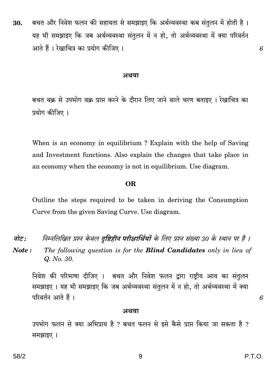बचत और निवेश फलन की सहायता से समझाइए कि अर्थव्यवस्था कब संतुलन में होती है। 30. यह भी समझाइए कि जब अर्थव्यवस्था संतुलन में न हो, तो अर्थव्यवस्था में क्या परिवर्तन आते हैं । रेखाचित्र का प्रयोग कीजिए ।

#### अथवा

बचत वक्र से उपभोग वक्र प्राप्त करने के दौरान लिए जाने वाले चरण बताइए । रेखाचित्र का प्रयोग कीजिए ।

When is an economy in equilibrium? Explain with the help of Saving and Investment functions. Also explain the changes that take place in an economy when the economy is not in equilibrium. Use diagram.

#### OR.

Outline the steps required to be taken in deriving the Consumption Curve from the given Saving Curve. Use diagram.

- निम्नलिखित प्रश्न केवल **दृष्टिहीन परीक्षार्थियों** के लिए प्रश्न संख्या 30 के स्थान पर है । नोट :
- Note: The following question is for the **Blind Candidates** only in lieu of Q. No. 30.

निवेश की परिभाषा दीजिए । बचत और निवेश फलन द्वारा राष्ट्रीय आय का संतुलन समझाइए । यह भी समझाइए कि जब अर्थव्यवस्था संतुलन में न हो, तो अर्थव्यवस्था में क्या परिवर्तन आते हैं।

#### अथवा

उपभोग फलन से क्या अभिप्राय है ? बचत फलन से इसे कैसे प्राप्त किया जा सकता है ? समझाइए ।

6

6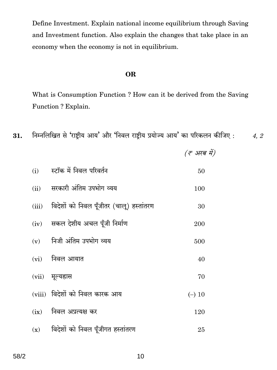Define Investment. Explain national income equilibrium through Saving and Investment function. Also explain the changes that take place in an economy when the economy is not in equilibrium.

#### **OR**

What is Consumption Function ? How can it be derived from the Saving Function ? Explain.

निम्नलिखित से 'राष्ट्रीय आय' और 'निवल राष्ट्रीय प्रयोज्य आय' का परिकलन कीजिए : 31. 4, 2

(इ अरब में)

स्टॉक में निवल परिवर्तन  $(i)$ 50 सरकारी अंतिम उपभोग व्यय  $(ii)$ 100 (iii) विदेशों को निवल पूँजीतर (चालू) हस्तांतरण 30 (iv) सकल देशीय अचल पूँजी निर्माण 200 निजी अंतिम उपभोग व्यय  $(v)$ 500  $(vi)$ निवल आयात 40  $(vii)$ मूल्यह्रास 70 (viii) विदेशों को निवल कारक आय  $(-) 10$  $(ix)$  निवल अप्रत्यक्ष कर 120  $(x)$  विदेशों को निवल पूँजीगत हस्तांतरण 25